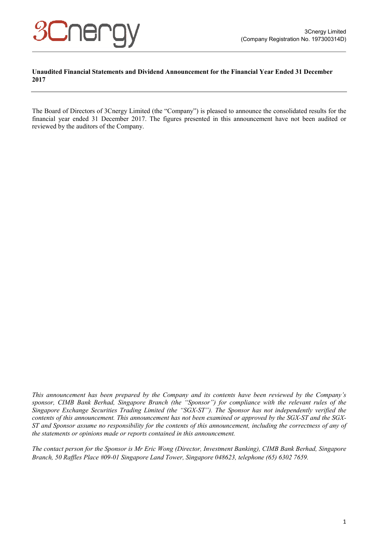

#### **Unaudited Financial Statements and Dividend Announcement for the Financial Year Ended 31 December 2017**

The Board of Directors of 3Cnergy Limited (the "Company") is pleased to announce the consolidated results for the financial year ended 31 December 2017. The figures presented in this announcement have not been audited or reviewed by the auditors of the Company.

*This announcement has been prepared by the Company and its contents have been reviewed by the Company's sponsor, CIMB Bank Berhad, Singapore Branch (the "Sponsor") for compliance with the relevant rules of the Singapore Exchange Securities Trading Limited (the "SGX-ST"). The Sponsor has not independently verified the contents of this announcement. This announcement has not been examined or approved by the SGX-ST and the SGX-ST and Sponsor assume no responsibility for the contents of this announcement, including the correctness of any of the statements or opinions made or reports contained in this announcement.* 

*The contact person for the Sponsor is Mr Eric Wong (Director, Investment Banking), CIMB Bank Berhad, Singapore Branch, 50 Raffles Place #09-01 Singapore Land Tower, Singapore 048623, telephone (65) 6302 7659.*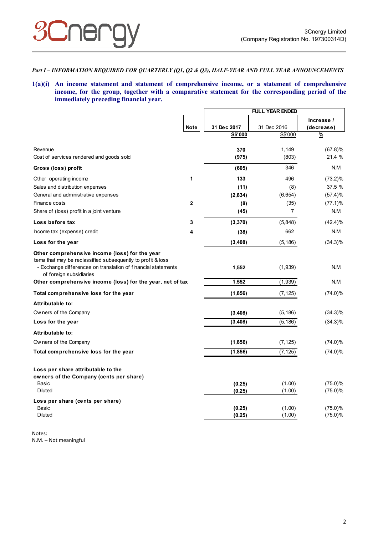

#### *Part I – INFORMATION REQUIRED FOR QUARTERLY (Q1, Q2 & Q3), HALF-YEAR AND FULL YEAR ANNOUNCEMENTS*

**1(a)(i) An income statement and statement of comprehensive income, or a statement of comprehensive income, for the group, together with a comparative statement for the corresponding period of the immediately preceding financial year.** 

|                                                                                                                                                                                                            |              | <b>FULL YEAR ENDED</b> |                |                          |
|------------------------------------------------------------------------------------------------------------------------------------------------------------------------------------------------------------|--------------|------------------------|----------------|--------------------------|
|                                                                                                                                                                                                            | <b>Note</b>  | 31 Dec 2017            | 31 Dec 2016    | Increase /<br>(decrease) |
|                                                                                                                                                                                                            |              | <b>S\$'000</b>         | S\$'000        | $\frac{9}{6}$            |
| Revenue                                                                                                                                                                                                    |              | 370                    | 1,149          | $(67.8)$ %               |
| Cost of services rendered and goods sold                                                                                                                                                                   |              | (975)                  | (803)          | 21.4 %                   |
| Gross (loss) profit                                                                                                                                                                                        |              | (605)                  | 346            | N.M.                     |
| Other operating income                                                                                                                                                                                     | 1            | 133                    | 496            | $(73.2)\%$               |
| Sales and distribution expenses                                                                                                                                                                            |              | (11)                   | (8)            | 37.5 %                   |
| General and administrative expenses                                                                                                                                                                        |              | (2,834)                | (6,654)        | (57.4)%                  |
| Finance costs                                                                                                                                                                                              | $\mathbf{2}$ | (8)                    | (35)           | $(77.1)\%$               |
| Share of (loss) profit in a joint venture                                                                                                                                                                  |              | (45)                   | $\overline{7}$ | N.M.                     |
| Loss before tax                                                                                                                                                                                            | 3            | (3, 370)               | (5,848)        | $(42.4)\%$               |
| Income tax (expense) credit                                                                                                                                                                                | 4            | (38)                   | 662            | N.M.                     |
| Loss for the year                                                                                                                                                                                          |              | (3,408)                | (5, 186)       | $(34.3)\%$               |
| Other comprehensive income (loss) for the year<br>Items that may be reclassified subsequently to profit & loss<br>- Exchange differences on translation of financial statements<br>of foreign subsidiaries |              | 1,552                  | (1,939)        | N.M.                     |
| Other comprehensive income (loss) for the year, net of tax                                                                                                                                                 |              | 1,552                  | (1,939)        | N.M.                     |
| Total comprehensive loss for the year                                                                                                                                                                      |              | (1,856)                | (7, 125)       | $(74.0)\%$               |
| Attributable to:                                                                                                                                                                                           |              |                        |                |                          |
| Ow ners of the Company                                                                                                                                                                                     |              | (3,408)                | (5, 186)       | $(34.3)\%$               |
| Loss for the year                                                                                                                                                                                          |              | (3, 408)               | (5, 186)       | $(34.3)\%$               |
| Attributable to:                                                                                                                                                                                           |              |                        |                |                          |
| Ow ners of the Company                                                                                                                                                                                     |              | (1,856)                | (7, 125)       | $(74.0)\%$               |
| Total comprehensive loss for the year                                                                                                                                                                      |              | (1,856)                | (7, 125)       | $(74.0)\%$               |
| Loss per share attributable to the<br>owners of the Company (cents per share)<br>Basic                                                                                                                     |              |                        | (1.00)         | $(75.0)\%$               |
| <b>Diluted</b>                                                                                                                                                                                             |              | (0.25)<br>(0.25)       | (1.00)         | $(75.0)\%$               |
| Loss per share (cents per share)                                                                                                                                                                           |              |                        |                |                          |
| Basic                                                                                                                                                                                                      |              | (0.25)                 | (1.00)         | $(75.0)\%$               |
| <b>Diluted</b>                                                                                                                                                                                             |              | (0.25)                 | (1.00)         | $(75.0)\%$               |

Notes: N.M. – Not meaningful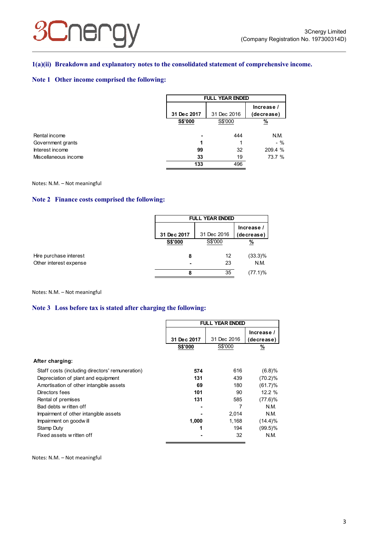#### **1(a)(ii) Breakdown and explanatory notes to the consolidated statement of comprehensive income.**

#### **Note 1 Other income comprised the following:**

|                      | <b>FULL YEAR ENDED</b> |             |                          |
|----------------------|------------------------|-------------|--------------------------|
|                      | 31 Dec 2017            | 31 Dec 2016 | Increase /<br>(decrease) |
|                      | S\$'000                | S\$'000     | $\frac{9}{6}$            |
| Rental income        | -                      | 444         | N.M.                     |
| Government grants    |                        |             | $-$ %                    |
| Interest income      | 99                     | 32          | 209.4 %                  |
| Miscellaneous income | 33                     | 19          | 73.7 %                   |
|                      | 133                    | 496         |                          |

#### Notes: N.M. – Not meaningful

#### **Note 2 Finance costs comprised the following:**

|                        | <b>FULL YEAR ENDED</b> |             |                          |  |
|------------------------|------------------------|-------------|--------------------------|--|
|                        | 31 Dec 2017            | 31 Dec 2016 | Increase /<br>(decrease) |  |
|                        | <b>S\$'000</b>         | S\$'000     | <u>%</u>                 |  |
| Hire purchase interest | 8                      | 12          | $(33.3)\%$<br>N.M.       |  |
| Other interest expense | 8                      | 23<br>35    | $(77.1)\%$               |  |

Notes: N.M. – Not meaningful

## **Note 3 Loss before tax is stated after charging the following:**

|                                                 | FULL YEAR ENDED |             |                          |
|-------------------------------------------------|-----------------|-------------|--------------------------|
|                                                 | 31 Dec 2017     | 31 Dec 2016 | Increase /<br>(decrease) |
|                                                 | <b>S\$'000</b>  | S\$'000     | $\%$                     |
| After charging:                                 |                 |             |                          |
| Staff costs (including directors' remuneration) | 574             | 616         | (6.8)%                   |
| Depreciation of plant and equipment             | 131             | 439         | $(70.2)\%$               |
| Amortisation of other intangible assets         | 69              | 180         | $(61.7)\%$               |
| Directors fees                                  | 101             | 90          | 12.2%                    |
| Rental of premises                              | 131             | 585         | $(77.6)$ %               |
| Bad debts w ritten off                          |                 |             | N.M.                     |
| Impairment of other intangible assets           |                 | 2,014       | N.M.                     |
| Impairment on goodwill                          | 1,000           | 1,168       | $(14.4)\%$               |
| Stamp Duty                                      |                 | 194         | $(99.5)\%$               |
| Fixed assets w ritten off                       |                 | 32          | N.M.                     |

Notes: N.M. – Not meaningful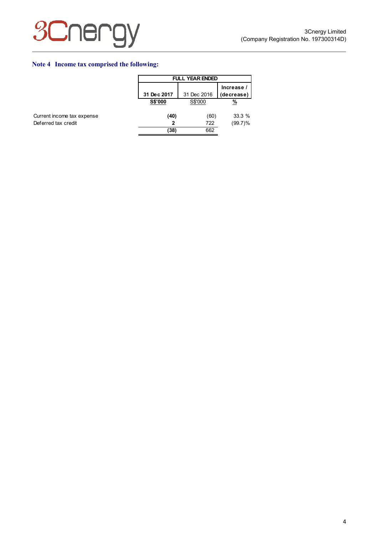

## **Note 4 Income tax comprised the following:**

|                            | <b>FULL YEAR ENDED</b> |             |                          |  |
|----------------------------|------------------------|-------------|--------------------------|--|
|                            | 31 Dec 2017            | 31 Dec 2016 | Increase /<br>(decrease) |  |
|                            | S\$'000                | S\$'000     | %                        |  |
| Current income tax expense | (40)                   | (60)        | 33.3%                    |  |
| Deferred tax credit        | 2                      | 722         | $(99.7)\%$               |  |
|                            | (38)                   | 662         |                          |  |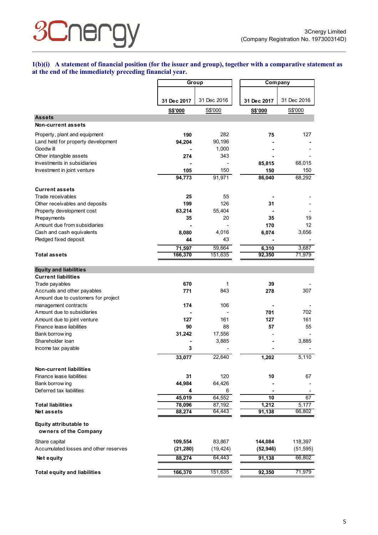# **3Cnerg**

**1(b)(i) A statement of financial position (for the issuer and group), together with a comparative statement as at the end of the immediately preceding financial year.** 

|                                                             |             | Group       |             | Company     |  |
|-------------------------------------------------------------|-------------|-------------|-------------|-------------|--|
|                                                             |             |             |             |             |  |
|                                                             | 31 Dec 2017 | 31 Dec 2016 | 31 Dec 2017 | 31 Dec 2016 |  |
|                                                             | S\$'000     | S\$'000     | S\$'000     | S\$'000     |  |
| <b>Assets</b>                                               |             |             |             |             |  |
| Non-current assets                                          |             |             |             |             |  |
| Property, plant and equipment                               | 190         | 282         | 75          | 127         |  |
| Land held for property development                          | 94,204      | 90,196      |             |             |  |
| Goodw ill                                                   |             | 1,000       |             |             |  |
| Other intangible assets                                     | 274         | 343         |             |             |  |
| Investments in subsidiaries                                 |             |             | 85,815      | 68,015      |  |
| Investment in joint venture                                 | 105         | 150         | 150         | 150         |  |
|                                                             | 94,773      | 91,971      | 86,040      | 68,292      |  |
|                                                             |             |             |             |             |  |
| <b>Current assets</b><br>Trade receivables                  | 25          | 55          |             |             |  |
| Other receivables and deposits                              | 199         | 126         | 31          |             |  |
| Property development cost                                   | 63,214      | 55,404      |             |             |  |
| Prepayments                                                 | 35          | 20          | 35          | 19          |  |
| Amount due from subsidiaries                                |             |             | 170         | 12          |  |
| Cash and cash equivalents                                   | 8,080       | 4,016       | 6,074       | 3,656       |  |
| Pledged fixed deposit                                       | 44          | 43          |             |             |  |
|                                                             | 71,597      | 59,664      | 6,310       | 3,687       |  |
| <b>Total assets</b>                                         | 166,370     | 151,635     | 92,350      | 71,979      |  |
|                                                             |             |             |             |             |  |
| <b>Equity and liabilities</b>                               |             |             |             |             |  |
| <b>Current liabilities</b>                                  |             |             |             |             |  |
| Trade payables                                              | 670         | 1           | 39          |             |  |
| Accruals and other payables                                 | 771         | 843         | 278         | 307         |  |
| Amount due to customers for project                         |             |             |             |             |  |
| management contracts                                        | 174         | 106         |             |             |  |
| Amount due to subsidiaries                                  |             |             | 701         | 702         |  |
| Amount due to joint venture                                 | 127         | 161         | 127         | 161         |  |
| Finance lease liabilities                                   | 90          | 88          | 57          | 55          |  |
| Bank borrow ing                                             | 31,242      | 17,556      |             |             |  |
| Shareholder loan                                            |             | 3,885       |             | 3,885       |  |
| Income tax payable                                          | 3           |             |             |             |  |
|                                                             | 33,077      | 22,640      | 1,202       | 5,110       |  |
|                                                             |             |             |             |             |  |
| <b>Non-current liabilities</b><br>Finance lease liabilities | 31          | 120         | 10          | 67          |  |
| Bank borrow ing                                             | 44,984      | 64,426      |             |             |  |
| Deferred tax liabilities                                    | 4           | 6           |             |             |  |
|                                                             | 45,019      | 64,552      | 10          | 67          |  |
| <b>Total liabilities</b>                                    | 78,096      | 87,192      | 1,212       | 5,177       |  |
| <b>Net assets</b>                                           | 88,274      | 64,443      | 91,138      | 66,802      |  |
|                                                             |             |             |             |             |  |
| Equity attributable to<br>owners of the Company             |             |             |             |             |  |
| Share capital                                               | 109,554     | 83,867      | 144,084     | 118,397     |  |
| Accumulated losses and other reserves                       | (21, 280)   | (19, 424)   | (52, 946)   | (51, 595)   |  |
| Net equity                                                  | 88,274      | 64,443      | 91,138      | 66,802      |  |
|                                                             |             |             |             |             |  |
| <b>Total equity and liabilities</b>                         | 166,370     | 151,635     | 92,350      | 71,979      |  |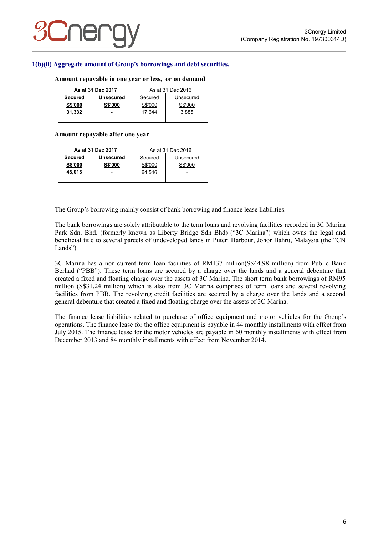#### **1(b)(ii) Aggregate amount of Group's borrowings and debt securities.**

#### **Amount repayable in one year or less, or on demand**

|                | As at 31 Dec 2017        |         | As at 31 Dec 2016 |
|----------------|--------------------------|---------|-------------------|
| <b>Secured</b> | <b>Unsecured</b>         | Secured | Unsecured         |
| <b>S\$'000</b> | <b>S\$'000</b>           | S\$'000 | S\$'000           |
| 31,332         | $\overline{\phantom{0}}$ | 17.644  | 3.885             |
|                |                          |         |                   |

#### **Amount repayable after one year**

|                | As at 31 Dec 2017 | As at 31 Dec 2016    |                          |  |
|----------------|-------------------|----------------------|--------------------------|--|
| <b>Secured</b> | <b>Unsecured</b>  | Secured<br>Unsecured |                          |  |
| <b>S\$'000</b> | <b>S\$'000</b>    | S\$'000              | S\$'000                  |  |
| 45.015         |                   | 64.546               | $\overline{\phantom{0}}$ |  |
|                |                   |                      |                          |  |

The Group's borrowing mainly consist of bank borrowing and finance lease liabilities.

The bank borrowings are solely attributable to the term loans and revolving facilities recorded in 3C Marina Park Sdn. Bhd. (formerly known as Liberty Bridge Sdn Bhd) ("3C Marina") which owns the legal and beneficial title to several parcels of undeveloped lands in Puteri Harbour, Johor Bahru, Malaysia (the "CN Lands").

3C Marina has a non-current term loan facilities of RM137 million(S\$44.98 million) from Public Bank Berhad ("PBB"). These term loans are secured by a charge over the lands and a general debenture that created a fixed and floating charge over the assets of 3C Marina. The short term bank borrowings of RM95 million (S\$31.24 million) which is also from 3C Marina comprises of term loans and several revolving facilities from PBB. The revolving credit facilities are secured by a charge over the lands and a second general debenture that created a fixed and floating charge over the assets of 3C Marina.

The finance lease liabilities related to purchase of office equipment and motor vehicles for the Group's operations. The finance lease for the office equipment is payable in 44 monthly installments with effect from July 2015. The finance lease for the motor vehicles are payable in 60 monthly installments with effect from December 2013 and 84 monthly installments with effect from November 2014.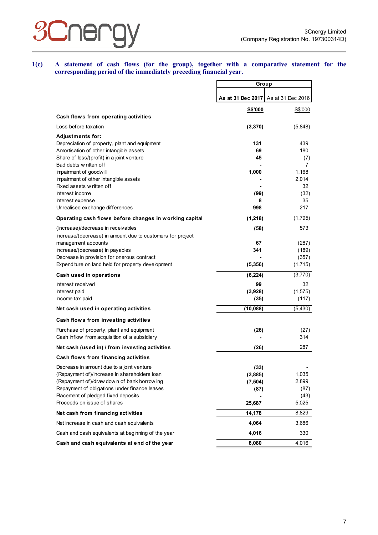## Cnen  $\mathcal{S}$

**1(c) A statement of cash flows (for the group), together with a comparative statement for the corresponding period of the immediately preceding financial year.** 

|                                                                                             | Group               |                   |
|---------------------------------------------------------------------------------------------|---------------------|-------------------|
|                                                                                             | As at 31 Dec 2017   | As at 31 Dec 2016 |
|                                                                                             | <b>S\$'000</b>      | S\$'000           |
| Cash flows from operating activities                                                        |                     |                   |
| Loss before taxation                                                                        | (3,370)             | (5,848)           |
| <b>Adjustments for:</b><br>Depreciation of property, plant and equipment                    | 131                 | 439               |
| Amortisation of other intangible assets                                                     | 69                  | 180               |
| Share of loss/(profit) in a joint venture                                                   | 45                  | (7)               |
| Bad debts w ritten off                                                                      |                     | 7                 |
| Impairment of goodwill<br>Impairment of other intangible assets                             | 1,000               | 1,168<br>2,014    |
| Fixed assets w ritten off                                                                   |                     | 32                |
| Interest income                                                                             | (99)                | (32)              |
| Interest expense                                                                            | 8                   | 35                |
| Unrealised exchange differences                                                             | 998                 | 217               |
| Operating cash flows before changes in working capital                                      | (1, 218)            | (1,795)           |
| (Increase)/decrease in receivables                                                          | (58)                | 573               |
| Increase/(decrease) in amount due to customers for project<br>management accounts           | 67                  | (287)             |
| Increase/(decrease) in payables                                                             | 341                 | (189)             |
| Decrease in provision for onerous contract                                                  |                     | (357)             |
| Expenditure on land held for property development                                           | (5,356)             | (1,715)           |
| Cash used in operations                                                                     | (6, 224)            | (3,770)           |
| Interest received                                                                           | 99                  | 32                |
| Interest paid                                                                               | (3,928)             | (1, 575)          |
| Income tax paid                                                                             | (35)                | (117)             |
| Net cash used in operating activities                                                       | (10, 088)           | (5, 430)          |
| Cash flows from investing activities                                                        |                     |                   |
| Purchase of property, plant and equipment                                                   | (26)                | (27)              |
| Cash inflow from acquisition of a subsidiary                                                |                     | 314               |
| Net cash (used in) / from investing activities                                              | (26)                | 287               |
| Cash flows from financing activities                                                        |                     |                   |
| Decrease in amount due to a joint venture                                                   | (33)                |                   |
| (Repayment of)/increase in shareholders loan<br>(Repayment of)/draw down of bank borrow ing | (3,885)<br>(7, 504) | 1,035<br>2,899    |
| Repayment of obligations under finance leases                                               | (87)                | (87)              |
| Placement of pledged fixed deposits                                                         |                     | (43)              |
| Proceeds on issue of shares                                                                 | 25,687              | 5,025             |
| Net cash from financing activities                                                          | 14,178              | 8,829             |
| Net increase in cash and cash equivalents                                                   | 4,064               | 3,686             |
| Cash and cash equivalents at beginning of the year                                          | 4,016               | 330               |
| Cash and cash equivalents at end of the year                                                | 8,080               | 4,016             |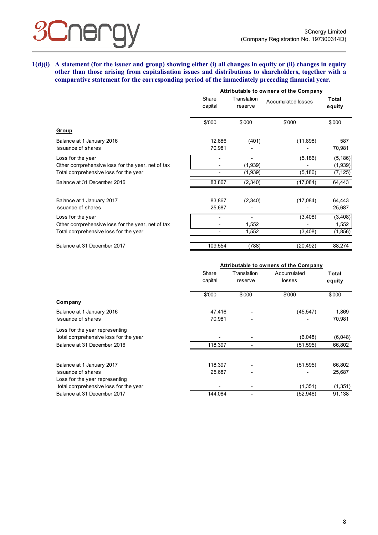## Jel

**1(d)(i) A statement (for the issuer and group) showing either (i) all changes in equity or (ii) changes in equity other than those arising from capitalisation issues and distributions to shareholders, together with a comparative statement for the corresponding period of the immediately preceding financial year.** 

|                                                   | Attributable to owners of the Company |                        |                    |                        |  |  |
|---------------------------------------------------|---------------------------------------|------------------------|--------------------|------------------------|--|--|
|                                                   | Share<br>capital                      | Translation<br>reserve | Accumulated losses | <b>Total</b><br>equity |  |  |
|                                                   | \$'000                                | \$'000                 | \$'000             | \$'000                 |  |  |
| Group                                             |                                       |                        |                    |                        |  |  |
| Balance at 1 January 2016                         | 12,886                                | (401)                  | (11,898)           | 587                    |  |  |
| <b>Issuance of shares</b>                         | 70,981                                |                        |                    | 70,981                 |  |  |
| Loss for the year                                 |                                       |                        | (5, 186)           | (5, 186)               |  |  |
| Other comprehensive loss for the year, net of tax |                                       | (1,939)                |                    | (1,939)                |  |  |
| Total comprehensive loss for the year             |                                       | (1,939)                | (5, 186)           | (7, 125)               |  |  |
| Balance at 31 December 2016                       | 83,867                                | (2,340)                | (17,084)           | 64,443                 |  |  |
| Balance at 1 January 2017                         | 83,867                                | (2,340)                | (17,084)           | 64,443                 |  |  |
| <b>Issuance of shares</b>                         | 25,687                                |                        |                    | 25,687                 |  |  |
| Loss for the year                                 |                                       | $\overline{a}$         | (3,408)            | (3,408)                |  |  |
| Other comprehensive loss for the year, net of tax |                                       | 1,552                  |                    | 1,552                  |  |  |
| Total comprehensive loss for the year             | $\overline{\phantom{0}}$              | 1,552                  | (3, 408)           | (1,856)                |  |  |
| Balance at 31 December 2017                       | 109,554                               | (788)                  | (20, 492)          | 88,274                 |  |  |

|                                                        | Attributable to owners of the Company |                        |                       |                  |  |
|--------------------------------------------------------|---------------------------------------|------------------------|-----------------------|------------------|--|
|                                                        | Share<br>capital                      | Translation<br>reserve | Accumulated<br>losses | Total<br>equity  |  |
|                                                        | \$'000                                | \$'000                 | \$'000                | \$'000           |  |
| Company                                                |                                       |                        |                       |                  |  |
| Balance at 1 January 2016                              | 47,416                                |                        | (45, 547)             | 1,869            |  |
| <b>Issuance of shares</b>                              | 70,981                                |                        |                       | 70,981           |  |
| Loss for the year representing                         |                                       |                        |                       |                  |  |
| total comprehensive loss for the year                  |                                       |                        | (6,048)               | (6,048)          |  |
| Balance at 31 December 2016                            | 118,397                               |                        | (51, 595)             | 66,802           |  |
|                                                        |                                       |                        |                       |                  |  |
| Balance at 1 January 2017<br><b>Issuance of shares</b> | 118,397<br>25,687                     |                        | (51, 595)             | 66,802<br>25,687 |  |
| Loss for the year representing                         |                                       |                        |                       |                  |  |
| total comprehensive loss for the year                  |                                       |                        | (1, 351)              | (1,351)          |  |
| Balance at 31 December 2017                            | 144,084                               |                        | (52, 946)             | 91,138           |  |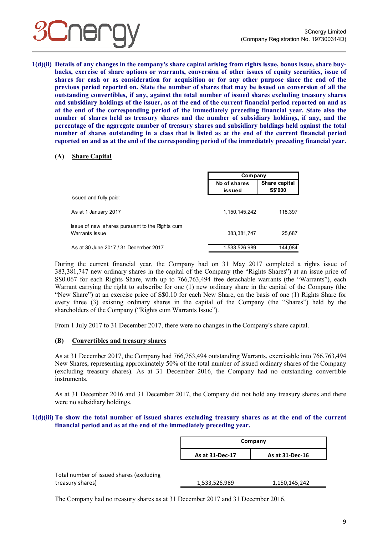

**1(d)(ii) Details of any changes in the company's share capital arising from rights issue, bonus issue, share buybacks, exercise of share options or warrants, conversion of other issues of equity securities, issue of shares for cash or as consideration for acquisition or for any other purpose since the end of the previous period reported on. State the number of shares that may be issued on conversion of all the outstanding convertibles, if any, against the total number of issued shares excluding treasury shares and subsidiary holdings of the issuer, as at the end of the current financial period reported on and as at the end of the corresponding period of the immediately preceding financial year. State also the number of shares held as treasury shares and the number of subsidiary holdings, if any, and the percentage of the aggregate number of treasury shares and subsidiary holdings held against the total number of shares outstanding in a class that is listed as at the end of the current financial period reported on and as at the end of the corresponding period of the immediately preceding financial year.**

#### **(A) Share Capital**

|                                                                  | Company                |                                 |
|------------------------------------------------------------------|------------------------|---------------------------------|
|                                                                  | No of shares<br>issued | Share capital<br><b>S\$'000</b> |
| Issued and fully paid:                                           |                        |                                 |
| As at 1 January 2017                                             | 1,150,145,242          | 118,397                         |
| Issue of new shares pursuant to the Rights cum<br>Warrants Issue | 383,381,747            | 25,687                          |
| As at 30 June 2017 / 31 December 2017                            | 1,533,526,989          | 144.084                         |

During the current financial year, the Company had on 31 May 2017 completed a rights issue of 383,381,747 new ordinary shares in the capital of the Company (the "Rights Shares") at an issue price of S\$0.067 for each Rights Share, with up to 766,763,494 free detachable warrants (the "Warrants"), each Warrant carrying the right to subscribe for one (1) new ordinary share in the capital of the Company (the "New Share") at an exercise price of S\$0.10 for each New Share, on the basis of one (1) Rights Share for every three (3) existing ordinary shares in the capital of the Company (the "Shares") held by the shareholders of the Company ("Rights cum Warrants Issue").

From 1 July 2017 to 31 December 2017, there were no changes in the Company's share capital.

#### **(B) Convertibles and treasury shares**

As at 31 December 2017, the Company had 766,763,494 outstanding Warrants, exercisable into 766,763,494 New Shares, representing approximately 50% of the total number of issued ordinary shares of the Company (excluding treasury shares). As at 31 December 2016, the Company had no outstanding convertible instruments.

As at 31 December 2016 and 31 December 2017, the Company did not hold any treasury shares and there were no subsidiary holdings.

#### **1(d)(iii) To show the total number of issued shares excluding treasury shares as at the end of the current financial period and as at the end of the immediately preceding year.**

|                                          | Company                            |               |  |
|------------------------------------------|------------------------------------|---------------|--|
|                                          | As at 31-Dec-17<br>As at 31-Dec-16 |               |  |
|                                          |                                    |               |  |
| Total number of issued shares (excluding |                                    |               |  |
| treasury shares)                         | 1,533,526,989                      | 1,150,145,242 |  |

The Company had no treasury shares as at 31 December 2017 and 31 December 2016.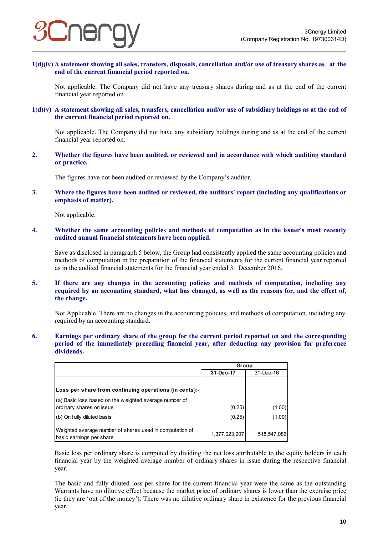

**1(d)(iv) A statement showing all sales, transfers, disposals, cancellation and/or use of treasury shares as at the end of the current financial period reported on.** 

Not applicable. The Company did not have any treasury shares during and as at the end of the current financial year reported on.

**1(d)(v) A statement showing all sales, transfers, cancellation and/or use of subsidiary holdings as at the end of the current financial period reported on.** 

Not applicable. The Company did not have any subsidiary holdings during and as at the end of the current financial year reported on.

**2. Whether the figures have been audited, or reviewed and in accordance with which auditing standard or practice.** 

The figures have not been audited or reviewed by the Company's auditor.

**3. Where the figures have been audited or reviewed, the auditors' report (including any qualifications or emphasis of matter).** 

Not applicable.

**4. Whether the same accounting policies and methods of computation as in the issuer's most recently audited annual financial statements have been applied.** 

Save as disclosed in paragraph 5 below, the Group had consistently applied the same accounting policies and methods of computation in the preparation of the financial statements for the current financial year reported as in the audited financial statements for the financial year ended 31 December 2016.

**5. If there are any changes in the accounting policies and methods of computation, including any required by an accounting standard, what has changed, as well as the reasons for, and the effect of, the change.** 

Not Applicable. There are no changes in the accounting policies, and methods of computation, including any required by an accounting standard.

**6. Earnings per ordinary share of the group for the current period reported on and the corresponding period of the immediately preceding financial year, after deducting any provision for preference dividends.** 

|                                                                                      | Group         |             |  |
|--------------------------------------------------------------------------------------|---------------|-------------|--|
|                                                                                      | 31-Dec-17     | 31-Dec-16   |  |
|                                                                                      |               |             |  |
| Loss per share from continuing operations (in cents):-                               |               |             |  |
| (a) Basic loss based on the w eighted average number of                              |               |             |  |
| ordinary shares on issue                                                             | (0.25)        | (1.00)      |  |
| (b) On fully diluted basis                                                           | (0.25)        | (1.00)      |  |
| Weighted average number of shares used in computation of<br>basic earnings per share | 1,377,023,207 | 518,547,086 |  |

Basic loss per ordinary share is computed by dividing the net loss attributable to the equity holders in each financial year by the weighted average number of ordinary shares in issue during the respective financial year.

 The basic and fully diluted loss per share for the current financial year were the same as the outstanding Warrants have no dilutive effect because the market price of ordinary shares is lower than the exercise price (ie they are 'out of the money'). There was no dilutive ordinary share in existence for the previous financial year.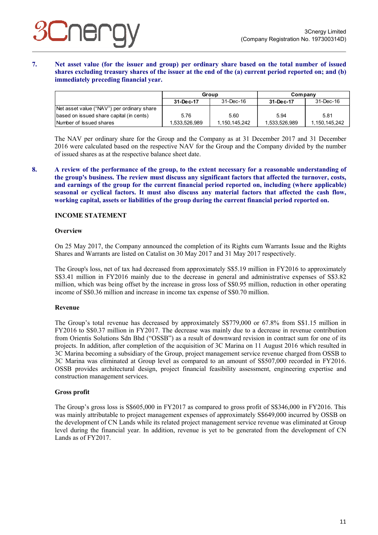#### **7. Net asset value (for the issuer and group) per ordinary share based on the total number of issued shares excluding treasury shares of the issuer at the end of the (a) current period reported on; and (b) immediately preceding financial year.**

|                                            | Group         |               | Company       |               |
|--------------------------------------------|---------------|---------------|---------------|---------------|
|                                            | 31-Dec-17     | 31-Dec-16     | 31-Dec-17     | 31-Dec-16     |
| Net asset value ("NAV") per ordinary share |               |               |               |               |
| based on issued share capital (in cents)   | 5.76          | 5.60          | 5.94          | 5.81          |
| Number of Issued shares                    | 1,533,526,989 | 1,150,145,242 | 1,533,526,989 | 1,150,145,242 |

The NAV per ordinary share for the Group and the Company as at 31 December 2017 and 31 December 2016 were calculated based on the respective NAV for the Group and the Company divided by the number of issued shares as at the respective balance sheet date.

**8. A review of the performance of the group, to the extent necessary for a reasonable understanding of the group's business. The review must discuss any significant factors that affected the turnover, costs, and earnings of the group for the current financial period reported on, including (where applicable) seasonal or cyclical factors. It must also discuss any material factors that affected the cash flow, working capital, assets or liabilities of the group during the current financial period reported on.** 

#### **INCOME STATEMENT**

#### **Overview**

On 25 May 2017, the Company announced the completion of its Rights cum Warrants Issue and the Rights Shares and Warrants are listed on Catalist on 30 May 2017 and 31 May 2017 respectively.

The Group's loss, net of tax had decreased from approximately S\$5.19 million in FY2016 to approximately S\$3.41 million in FY2016 mainly due to the decrease in general and administrative expenses of S\$3.82 million, which was being offset by the increase in gross loss of S\$0.95 million, reduction in other operating income of S\$0.36 million and increase in income tax expense of S\$0.70 million.

#### **Revenue**

The Group's total revenue has decreased by approximately S\$779,000 or 67.8% from S\$1.15 million in FY2016 to S\$0.37 million in FY2017. The decrease was mainly due to a decrease in revenue contribution from Orientis Solutions Sdn Bhd ("OSSB") as a result of downward revision in contract sum for one of its projects. In addition, after completion of the acquisition of 3C Marina on 11 August 2016 which resulted in 3C Marina becoming a subsidiary of the Group, project management service revenue charged from OSSB to 3C Marina was eliminated at Group level as compared to an amount of S\$507,000 recorded in FY2016. OSSB provides architectural design, project financial feasibility assessment, engineering expertise and construction management services.

#### **Gross profit**

The Group's gross loss is S\$605,000 in FY2017 as compared to gross profit of S\$346,000 in FY2016. This was mainly attributable to project management expenses of approximately S\$649,000 incurred by OSSB on the development of CN Lands while its related project management service revenue was eliminated at Group level during the financial year. In addition, revenue is yet to be generated from the development of CN Lands as of FY2017.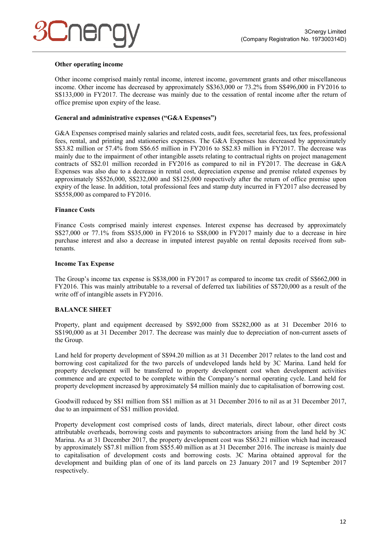#### **Other operating income**

Other income comprised mainly rental income, interest income, government grants and other miscellaneous income. Other income has decreased by approximately S\$363,000 or 73.2% from S\$496,000 in FY2016 to S\$133,000 in FY2017. The decrease was mainly due to the cessation of rental income after the return of office premise upon expiry of the lease.

#### **General and administrative expenses ("G&A Expenses")**

G&A Expenses comprised mainly salaries and related costs, audit fees, secretarial fees, tax fees, professional fees, rental, and printing and stationeries expenses. The G&A Expenses has decreased by approximately S\$3.82 million or 57.4% from S\$6.65 million in FY2016 to S\$2.83 million in FY2017. The decrease was mainly due to the impairment of other intangible assets relating to contractual rights on project management contracts of S\$2.01 million recorded in FY2016 as compared to nil in FY2017. The decrease in G&A Expenses was also due to a decrease in rental cost, depreciation expense and premise related expenses by approximately S\$526,000, S\$232,000 and S\$125,000 respectively after the return of office premise upon expiry of the lease. In addition, total professional fees and stamp duty incurred in FY2017 also decreased by S\$558,000 as compared to FY2016.

#### **Finance Costs**

Finance Costs comprised mainly interest expenses. Interest expense has decreased by approximately S\$27,000 or 77.1% from S\$35,000 in FY2016 to S\$8,000 in FY2017 mainly due to a decrease in hire purchase interest and also a decrease in imputed interest payable on rental deposits received from subtenants.

#### **Income Tax Expense**

The Group's income tax expense is S\$38,000 in FY2017 as compared to income tax credit of S\$662,000 in FY2016. This was mainly attributable to a reversal of deferred tax liabilities of S\$720,000 as a result of the write off of intangible assets in FY2016.

#### **BALANCE SHEET**

Property, plant and equipment decreased by S\$92,000 from S\$282,000 as at 31 December 2016 to S\$190,000 as at 31 December 2017. The decrease was mainly due to depreciation of non-current assets of the Group.

Land held for property development of S\$94.20 million as at 31 December 2017 relates to the land cost and borrowing cost capitalized for the two parcels of undeveloped lands held by 3C Marina. Land held for property development will be transferred to property development cost when development activities commence and are expected to be complete within the Company's normal operating cycle. Land held for property development increased by approximately \$4 million mainly due to capitalisation of borrowing cost.

Goodwill reduced by S\$1 million from S\$1 million as at 31 December 2016 to nil as at 31 December 2017, due to an impairment of S\$1 million provided.

Property development cost comprised costs of lands, direct materials, direct labour, other direct costs attributable overheads, borrowing costs and payments to subcontractors arising from the land held by 3C Marina. As at 31 December 2017, the property development cost was S\$63.21 million which had increased by approximately S\$7.81 million from S\$55.40 million as at 31 December 2016. The increase is mainly due to capitalisation of development costs and borrowing costs. 3C Marina obtained approval for the development and building plan of one of its land parcels on 23 January 2017 and 19 September 2017 respectively.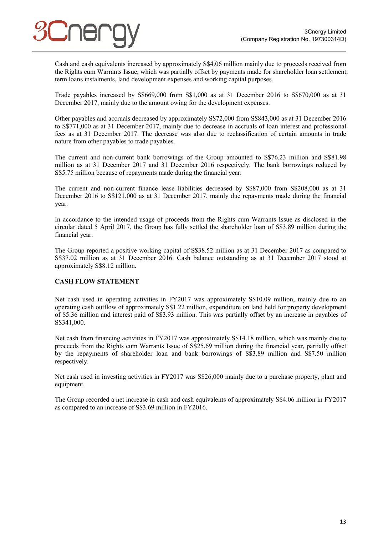Cash and cash equivalents increased by approximately S\$4.06 million mainly due to proceeds received from the Rights cum Warrants Issue, which was partially offset by payments made for shareholder loan settlement, term loans instalments, land development expenses and working capital purposes.

Trade payables increased by S\$669,000 from S\$1,000 as at 31 December 2016 to S\$670,000 as at 31 December 2017, mainly due to the amount owing for the development expenses.

Other payables and accruals decreased by approximately S\$72,000 from S\$843,000 as at 31 December 2016 to S\$771,000 as at 31 December 2017, mainly due to decrease in accruals of loan interest and professional fees as at 31 December 2017. The decrease was also due to reclassification of certain amounts in trade nature from other payables to trade payables.

The current and non-current bank borrowings of the Group amounted to S\$76.23 million and S\$81.98 million as at 31 December 2017 and 31 December 2016 respectively. The bank borrowings reduced by S\$5.75 million because of repayments made during the financial year.

The current and non-current finance lease liabilities decreased by S\$87,000 from S\$208,000 as at 31 December 2016 to S\$121,000 as at 31 December 2017, mainly due repayments made during the financial year.

In accordance to the intended usage of proceeds from the Rights cum Warrants Issue as disclosed in the circular dated 5 April 2017, the Group has fully settled the shareholder loan of S\$3.89 million during the financial year.

The Group reported a positive working capital of S\$38.52 million as at 31 December 2017 as compared to S\$37.02 million as at 31 December 2016. Cash balance outstanding as at 31 December 2017 stood at approximately S\$8.12 million.

#### **CASH FLOW STATEMENT**

Net cash used in operating activities in FY2017 was approximately S\$10.09 million, mainly due to an operating cash outflow of approximately S\$1.22 million, expenditure on land held for property development of \$5.36 million and interest paid of S\$3.93 million. This was partially offset by an increase in payables of S\$341,000.

Net cash from financing activities in FY2017 was approximately S\$14.18 million, which was mainly due to proceeds from the Rights cum Warrants Issue of S\$25.69 million during the financial year, partially offset by the repayments of shareholder loan and bank borrowings of S\$3.89 million and S\$7.50 million respectively.

Net cash used in investing activities in FY2017 was S\$26,000 mainly due to a purchase property, plant and equipment.

The Group recorded a net increase in cash and cash equivalents of approximately S\$4.06 million in FY2017 as compared to an increase of S\$3.69 million in FY2016.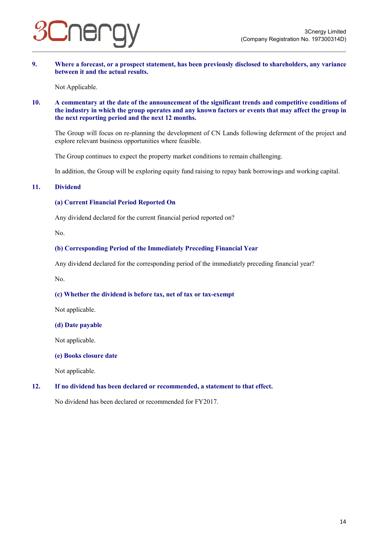

**9. Where a forecast, or a prospect statement, has been previously disclosed to shareholders, any variance between it and the actual results.** 

Not Applicable.

#### **10. A commentary at the date of the announcement of the significant trends and competitive conditions of the industry in which the group operates and any known factors or events that may affect the group in the next reporting period and the next 12 months.**

The Group will focus on re-planning the development of CN Lands following deferment of the project and explore relevant business opportunities where feasible.

The Group continues to expect the property market conditions to remain challenging.

In addition, the Group will be exploring equity fund raising to repay bank borrowings and working capital.

#### **11. Dividend**

#### **(a) Current Financial Period Reported On**

Any dividend declared for the current financial period reported on?

No.

#### **(b) Corresponding Period of the Immediately Preceding Financial Year**

Any dividend declared for the corresponding period of the immediately preceding financial year?

No.

#### **(c) Whether the dividend is before tax, net of tax or tax-exempt**

Not applicable.

#### **(d) Date payable**

Not applicable.

#### **(e) Books closure date**

Not applicable.

#### **12. If no dividend has been declared or recommended, a statement to that effect.**

No dividend has been declared or recommended for FY2017.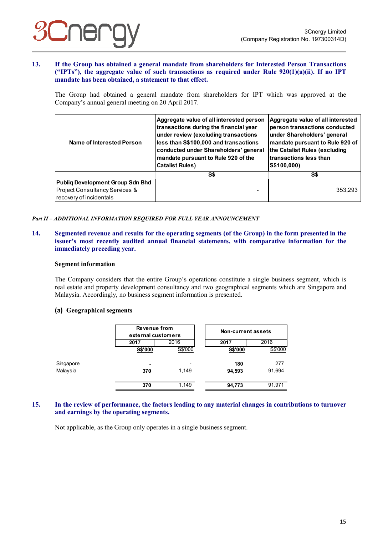#### **13. If the Group has obtained a general mandate from shareholders for Interested Person Transactions ("IPTs"), the aggregate value of such transactions as required under Rule 920(1)(a)(ii). If no IPT mandate has been obtained, a statement to that effect.**

The Group had obtained a general mandate from shareholders for IPT which was approved at the Company's annual general meeting on 20 April 2017.

| Aggregate value of all interested person<br>transactions during the financial year<br>under review (excluding transactions<br>less than S\$100,000 and transactions<br>Name of Interested Person<br>conducted under Shareholders' general<br>mandate pursuant to Rule 920 of the<br><b>Catalist Rules)</b> |     | Aggregate value of all interested<br>person transactions conducted<br>under Shareholders' general<br>mandate pursuant to Rule 920 of<br>the Catalist Rules (excluding<br>Itransactions less than<br>S\$100,000) |  |
|------------------------------------------------------------------------------------------------------------------------------------------------------------------------------------------------------------------------------------------------------------------------------------------------------------|-----|-----------------------------------------------------------------------------------------------------------------------------------------------------------------------------------------------------------------|--|
|                                                                                                                                                                                                                                                                                                            | S\$ | S\$                                                                                                                                                                                                             |  |
| <b>Publiq Development Group Sdn Bhd</b>                                                                                                                                                                                                                                                                    |     |                                                                                                                                                                                                                 |  |
| Project Consultancy Services &                                                                                                                                                                                                                                                                             |     | 353.293                                                                                                                                                                                                         |  |
| recovery of incidentals                                                                                                                                                                                                                                                                                    |     |                                                                                                                                                                                                                 |  |

## *Part II – ADDITIONAL INFORMATION REQUIRED FOR FULL YEAR ANNOUNCEMENT*

#### **14. Segmented revenue and results for the operating segments (of the Group) in the form presented in the issuer's most recently audited annual financial statements, with comparative information for the immediately preceding year.**

#### **Segment information**

The Company considers that the entire Group's operations constitute a single business segment, which is real estate and property development consultancy and two geographical segments which are Singapore and Malaysia. Accordingly, no business segment information is presented.

#### **(a) Geographical segments**

|           | Revenue from<br>external customers |         |         | <b>Non-current assets</b> |  |
|-----------|------------------------------------|---------|---------|---------------------------|--|
|           | 2017                               | 2016    | 2017    | 2016                      |  |
|           | S\$'000                            | S\$'000 | S\$'000 | S\$'000                   |  |
| Singapore | $\blacksquare$                     |         | 180     | 277                       |  |
| Malaysia  | 370                                | 1.149   | 94,593  | 91,694                    |  |
|           | 370                                | 1,149   | 94,773  | 91,971                    |  |

#### **15. In the review of performance, the factors leading to any material changes in contributions to turnover and earnings by the operating segments.**

Not applicable, as the Group only operates in a single business segment.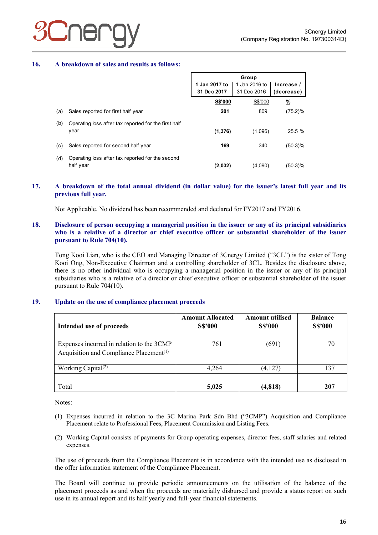#### **16. A breakdown of sales and results as follows:**

|     |                                                               | Group          |               |               |
|-----|---------------------------------------------------------------|----------------|---------------|---------------|
|     |                                                               | 1 Jan 2017 to  | 1 Jan 2016 to | Increase /    |
|     |                                                               | 31 Dec 2017    | 31 Dec 2016   | (decrease)    |
|     |                                                               | <b>S\$'000</b> | S\$'000       | $\frac{9}{6}$ |
| (a) | Sales reported for first half year                            | 201            | 809           | $(75.2)\%$    |
| (b) | Operating loss after tax reported for the first half<br>year  | (1,376)        | (1,096)       | 25.5 %        |
| (c) | Sales reported for second half year                           | 169            | 340           | $(50.3)\%$    |
| (d) | Operating loss after tax reported for the second<br>half year | (2,032)        | (4,090)       | (50.3)%       |

#### **17. A breakdown of the total annual dividend (in dollar value) for the issuer's latest full year and its previous full year.**

Not Applicable. No dividend has been recommended and declared for FY2017 and FY2016.

#### **18. Disclosure of person occupying a managerial position in the issuer or any of its principal subsidiaries who is a relative of a director or chief executive officer or substantial shareholder of the issuer pursuant to Rule 704(10).**

Tong Kooi Lian, who is the CEO and Managing Director of 3Cnergy Limited ("3CL") is the sister of Tong Kooi Ong, Non-Executive Chairman and a controlling shareholder of 3CL. Besides the disclosure above, there is no other individual who is occupying a managerial position in the issuer or any of its principal subsidiaries who is a relative of a director or chief executive officer or substantial shareholder of the issuer pursuant to Rule 704(10).

#### **19. Update on the use of compliance placement proceeds**

| Intended use of proceeds                                                                         | <b>Amount Allocated</b><br><b>S\$'000</b> | <b>Amount utilised</b><br><b>S\$'000</b> | <b>Balance</b><br><b>S\$'000</b> |
|--------------------------------------------------------------------------------------------------|-------------------------------------------|------------------------------------------|----------------------------------|
| Expenses incurred in relation to the 3CMP<br>Acquisition and Compliance Placement <sup>(1)</sup> | 761                                       | (691)                                    | 70                               |
| Working Capital <sup>(2)</sup>                                                                   | 4,264                                     | (4,127)                                  | 137                              |
| Total                                                                                            | 5,025                                     | (4,818)                                  | 207                              |

Notes:

- (1) Expenses incurred in relation to the 3C Marina Park Sdn Bhd ("3CMP") Acquisition and Compliance Placement relate to Professional Fees, Placement Commission and Listing Fees.
- (2) Working Capital consists of payments for Group operating expenses, director fees, staff salaries and related expenses.

The use of proceeds from the Compliance Placement is in accordance with the intended use as disclosed in the offer information statement of the Compliance Placement.

The Board will continue to provide periodic announcements on the utilisation of the balance of the placement proceeds as and when the proceeds are materially disbursed and provide a status report on such use in its annual report and its half yearly and full-year financial statements.